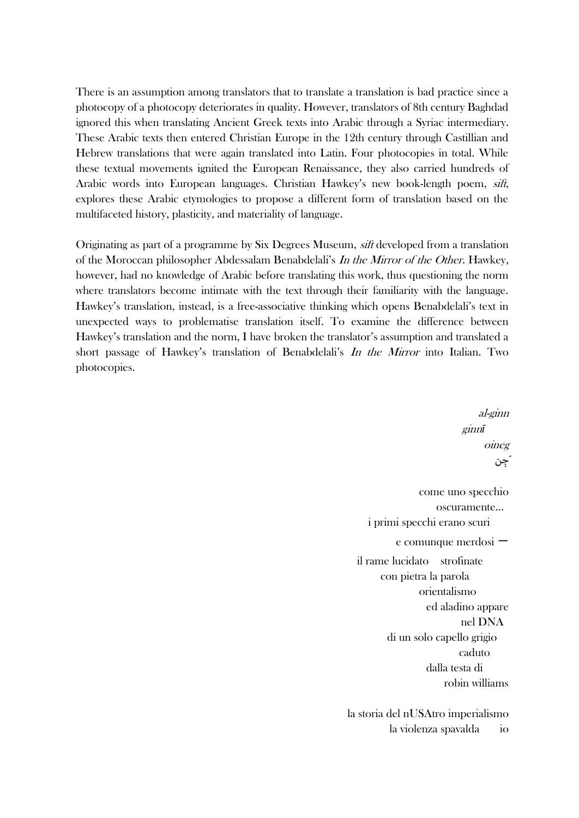There is an assumption among translators that to translate a translation is bad practice since a photocopy of a photocopy deteriorates in quality. However, translators of 8th century Baghdad ignored this when translating Ancient Greek texts into Arabic through a Syriac intermediary. These Arabic texts then entered Christian Europe in the 12th century through Castillian and Hebrew translations that were again translated into Latin. Four photocopies in total. While these textual movements ignited the European Renaissance, they also carried hundreds of Arabic words into European languages. Christian Hawkey's new book-length poem, sift, explores these Arabic etymologies to propose a different form of translation based on the multifaceted history, plasticity, and materiality of language.

Originating as part of a programme by Six Degrees Museum, sift developed from a translation of the Moroccan philosopher Abdessalam Benabdelali's In the Mirror of the Other. Hawkey, however, had no knowledge of Arabic before translating this work, thus questioning the norm where translators become intimate with the text through their familiarity with the language. Hawkey's translation, instead, is a free-associative thinking which opens Benabdelali's text in unexpected ways to problematise translation itself. To examine the difference between Hawkey's translation and the norm, I have broken the translator's assumption and translated a short passage of Hawkey's translation of Benabdelali's In the Mirror into Italian. Two photocopies.

> al-ginn ginn*ī* oineg ِجن ֧֖֚֝֟֟֓<br>֧֖֚֚֚֚֚֝֝<br>֧֚֝ come uno specchio oscuramente… i primi specchi erano scuri e comunque merdosi 一 il rame lucidato strofinate con pietra la parola orientalismo ed aladino appare nel DNA di un solo capello grigio caduto dalla testa di robin williams la storia del nUSAtro imperialismo

> > la violenza spavalda io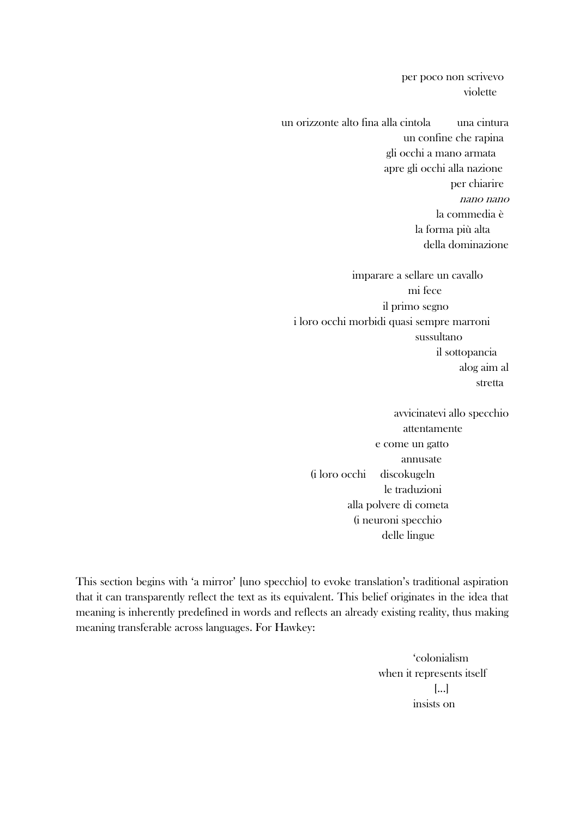per poco non scrivevo violette

un orizzonte alto fina alla cintola una cintura un confine che rapina gli occhi a mano armata apre gli occhi alla nazione per chiarire nano nano la commedia è la forma più alta della dominazione

imparare a sellare un cavallo mi fece il primo segno i loro occhi morbidi quasi sempre marroni sussultano il sottopancia alog aim al stretta

avvicinatevi allo specchio attentamente e come un gatto annusate (i loro occhi discokugeln le traduzioni alla polvere di cometa (i neuroni specchio delle lingue

This section begins with 'a mirror' [uno specchio] to evoke translation's traditional aspiration that it can transparently reflect the text as its equivalent. This belief originates in the idea that meaning is inherently predefined in words and reflects an already existing reality, thus making meaning transferable across languages. For Hawkey:

> 'colonialism when it represents itself [...] insists on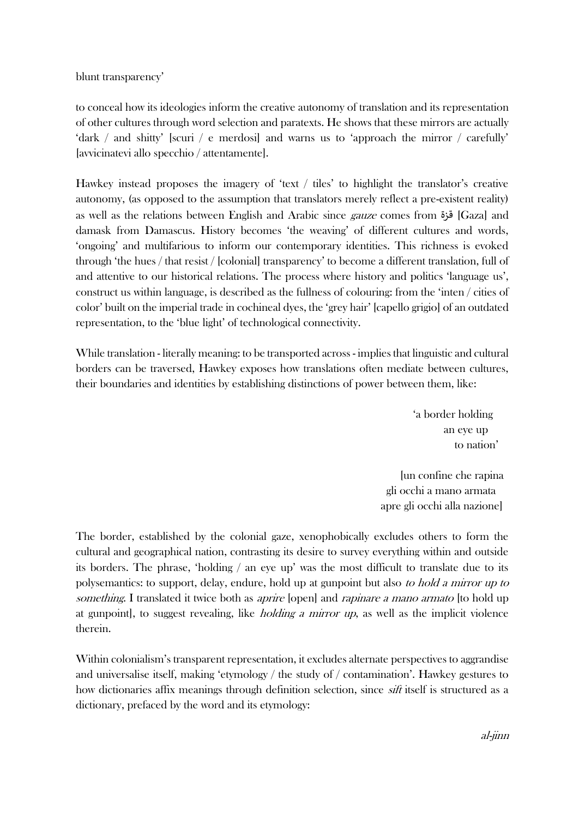blunt transparency'

to conceal how its ideologies inform the creative autonomy of translation and its representation of other cultures through word selection and paratexts. He shows that these mirrors are actually 'dark / and shitty' [scuri / e merdosi] and warns us to 'approach the mirror / carefully' [avvicinatevi allo specchio / attentamente].

Hawkey instead proposes the imagery of 'text / tiles' to highlight the translator's creative autonomy, (as opposed to the assumption that translators merely reflect a pre-existent reality) as well as the relations between English and Arabic since gauze comes from قزة] Gaza] and damask from Damascus. History becomes 'the weaving' of different cultures and words, 'ongoing' and multifarious to inform our contemporary identities. This richness is evoked through 'the hues / that resist / [colonial] transparency' to become a different translation, full of and attentive to our historical relations. The process where history and politics 'language us', construct us within language, is described as the fullness of colouring: from the 'inten / cities of color' built on the imperial trade in cochineal dyes, the 'grey hair' [capello grigio] of an outdated representation, to the 'blue light' of technological connectivity.

While translation - literally meaning: to be transported across - implies that linguistic and cultural borders can be traversed, Hawkey exposes how translations often mediate between cultures, their boundaries and identities by establishing distinctions of power between them, like:

> 'a border holding an eye up to nation'

[un confine che rapina gli occhi a mano armata apre gli occhi alla nazione]

The border, established by the colonial gaze, xenophobically excludes others to form the cultural and geographical nation, contrasting its desire to survey everything within and outside its borders. The phrase, 'holding / an eye up' was the most difficult to translate due to its polysemantics: to support, delay, endure, hold up at gunpoint but also to hold a mirror up to something. I translated it twice both as *aprire* [open] and *rapinare a mano armato* [to hold up at gunpoint, to suggest revealing, like *holding a mirror up*, as well as the implicit violence therein.

Within colonialism's transparent representation, it excludes alternate perspectives to aggrandise and universalise itself, making 'etymology / the study of / contamination'. Hawkey gestures to how dictionaries affix meanings through definition selection, since *sift* itself is structured as a dictionary, prefaced by the word and its etymology: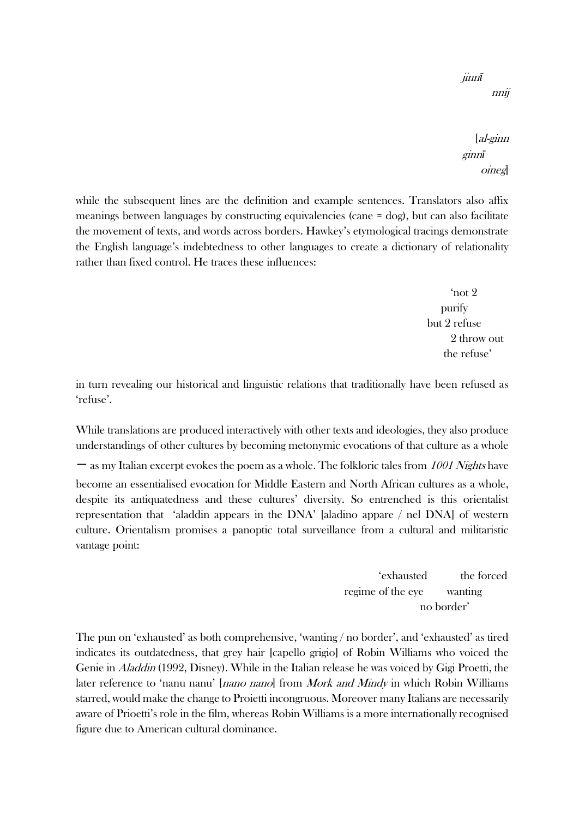jinn*ī* nnij

[al-ginn ginn*ī* oineg]

while the subsequent lines are the definition and example sentences. Translators also affix meanings between languages by constructing equivalencies (cane  $\approx$  dog), but can also facilitate the movement of texts, and words across borders. Hawkey's etymological tracings demonstrate the English language's indebtedness to other languages to create a dictionary of relationality rather than fixed control. He traces these influences:

> 'not 2 purify but 2 refuse 2 throw out the refuse'

in turn revealing our historical and linguistic relations that traditionally have been refused as 'refuse'.

While translations are produced interactively with other texts and ideologies, they also produce understandings of other cultures by becoming metonymic evocations of that culture as a whole 一 as my Italian excerpt evokes the poem as a whole. The folkloric tales from 1001 Nights have become an essentialised evocation for Middle Eastern and North African cultures as a whole, despite its antiquatedness and these cultures' diversity. So entrenched is this orientalist representation that 'aladdin appears in the DNA' [aladino appare / nel DNA] of western culture. Orientalism promises a panoptic total surveillance from a cultural and militaristic vantage point:

> 'exhausted the forced regime of the eye wanting no border'

The pun on 'exhausted' as both comprehensive, 'wanting / no border', and 'exhausted' as tired indicates its outdatedness, that grey hair [capello grigio] of Robin Williams who voiced the Genie in Aladdin (1992, Disney). While in the Italian release he was voiced by Gigi Proetti, the later reference to 'nanu nanu' [*nano nano*] from *Mork and Mindy* in which Robin Williams starred, would make the change to Proietti incongruous. Moreover many Italians are necessarily aware of Prioetti's role in the film, whereas Robin Williams is a more internationally recognised figure due to American cultural dominance.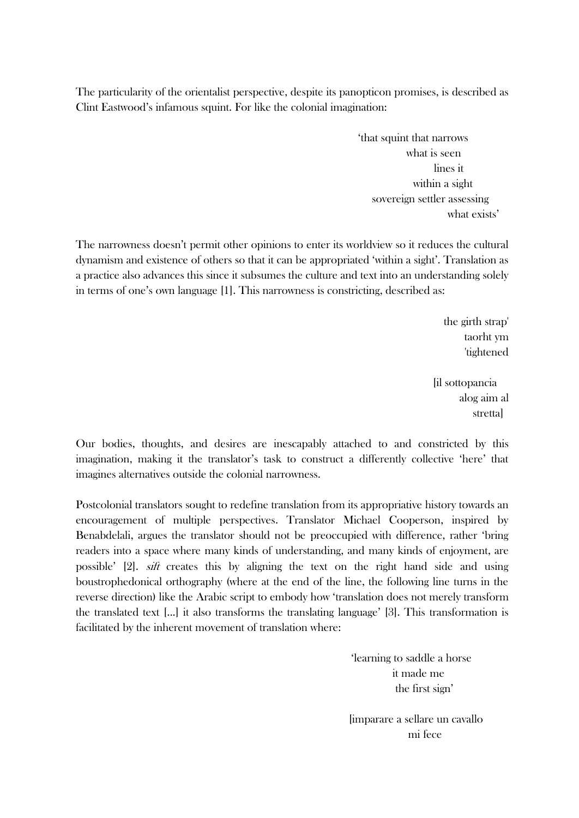The particularity of the orientalist perspective, despite its panopticon promises, is described as Clint Eastwood's infamous squint. For like the colonial imagination:

> 'that squint that narrows what is seen lines it within a sight sovereign settler assessing what exists'

The narrowness doesn't permit other opinions to enter its worldview so it reduces the cultural dynamism and existence of others so that it can be appropriated 'within a sight'. Translation as a practice also advances this since it subsumes the culture and text into an understanding solely in terms of one's own language [1]. This narrowness is constricting, described as:

> the girth strap' taorht ym 'tightened

[il sottopancia alog aim al stretta]

Our bodies, thoughts, and desires are inescapably attached to and constricted by this imagination, making it the translator's task to construct a differently collective 'here' that imagines alternatives outside the colonial narrowness.

Postcolonial translators sought to redefine translation from its appropriative history towards an encouragement of multiple perspectives. Translator Michael Cooperson, inspired by Benabdelali, argues the translator should not be preoccupied with difference, rather 'bring readers into a space where many kinds of understanding, and many kinds of enjoyment, are possible' [2]. sift creates this by aligning the text on the right hand side and using boustrophedonical orthography (where at the end of the line, the following line turns in the reverse direction) like the Arabic script to embody how 'translation does not merely transform the translated text [...] it also transforms the translating language' [3]. This transformation is facilitated by the inherent movement of translation where:

> 'learning to saddle a horse it made me the first sign'

[imparare a sellare un cavallo mi fece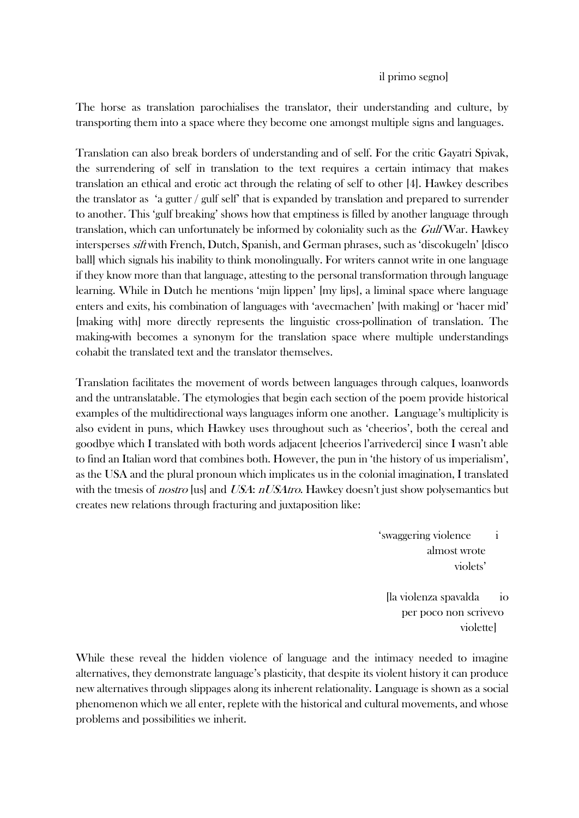## il primo segno]

The horse as translation parochialises the translator, their understanding and culture, by transporting them into a space where they become one amongst multiple signs and languages.

Translation can also break borders of understanding and of self. For the critic Gayatri Spivak, the surrendering of self in translation to the text requires a certain intimacy that makes translation an ethical and erotic act through the relating of self to other [4]. Hawkey describes the translator as 'a gutter  $/$  gulf self' that is expanded by translation and prepared to surrender to another. This 'gulf breaking' shows how that emptiness is filled by another language through translation, which can unfortunately be informed by coloniality such as the Gulf War. Hawkey intersperses sift with French, Dutch, Spanish, and German phrases, such as 'discokugeln' [disco ball] which signals his inability to think monolingually. For writers cannot write in one language if they know more than that language, attesting to the personal transformation through language learning. While in Dutch he mentions 'mijn lippen' [my lips], a liminal space where language enters and exits, his combination of languages with 'avecmachen' [with making] or 'hacer mid' [making with] more directly represents the linguistic cross-pollination of translation. The making-with becomes a synonym for the translation space where multiple understandings cohabit the translated text and the translator themselves.

Translation facilitates the movement of words between languages through calques, loanwords and the untranslatable. The etymologies that begin each section of the poem provide historical examples of the multidirectional ways languages inform one another. Language's multiplicity is also evident in puns, which Hawkey uses throughout such as 'cheerios', both the cereal and goodbye which I translated with both words adjacent [cheerios l'arrivederci] since I wasn't able to find an Italian word that combines both. However, the pun in 'the history of us imperialism', as the USA and the plural pronoun which implicates us in the colonial imagination, I translated with the tmesis of *nostro* [us] and *USA*: *nUSAtro*. Hawkey doesn't just show polysemantics but creates new relations through fracturing and juxtaposition like:

> 'swaggering violence i almost wrote violets'

[la violenza spavalda io per poco non scrivevo violette]

While these reveal the hidden violence of language and the intimacy needed to imagine alternatives, they demonstrate language's plasticity, that despite its violent history it can produce new alternatives through slippages along its inherent relationality. Language is shown as a social phenomenon which we all enter, replete with the historical and cultural movements, and whose problems and possibilities we inherit.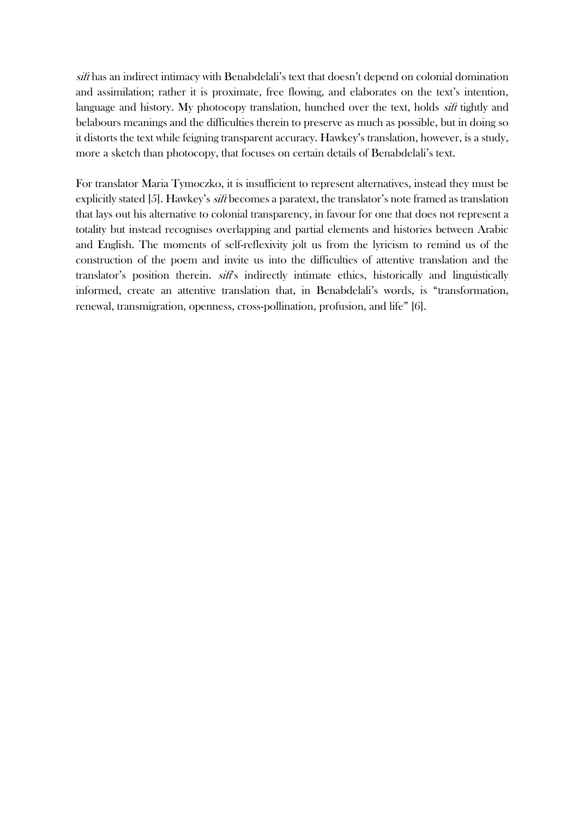sift has an indirect intimacy with Benabdelali's text that doesn't depend on colonial domination and assimilation; rather it is proximate, free flowing, and elaborates on the text's intention, language and history. My photocopy translation, hunched over the text, holds *sift* tightly and belabours meanings and the difficulties therein to preserve as much as possible, but in doing so it distorts the text while feigning transparent accuracy. Hawkey's translation, however, is a study, more a sketch than photocopy, that focuses on certain details of Benabdelali's text.

For translator Maria Tymoczko, it is insufficient to represent alternatives, instead they must be explicitly stated [5]. Hawkey's sift becomes a paratext, the translator's note framed as translation that lays out his alternative to colonial transparency, in favour for one that does not represent a totality but instead recognises overlapping and partial elements and histories between Arabic and English. The moments of self-reflexivity jolt us from the lyricism to remind us of the construction of the poem and invite us into the difficulties of attentive translation and the translator's position therein. *sift*'s indirectly intimate ethics, historically and linguistically informed, create an attentive translation that, in Benabdelali's words, is "transformation, renewal, transmigration, openness, cross-pollination, profusion, and life" [6].